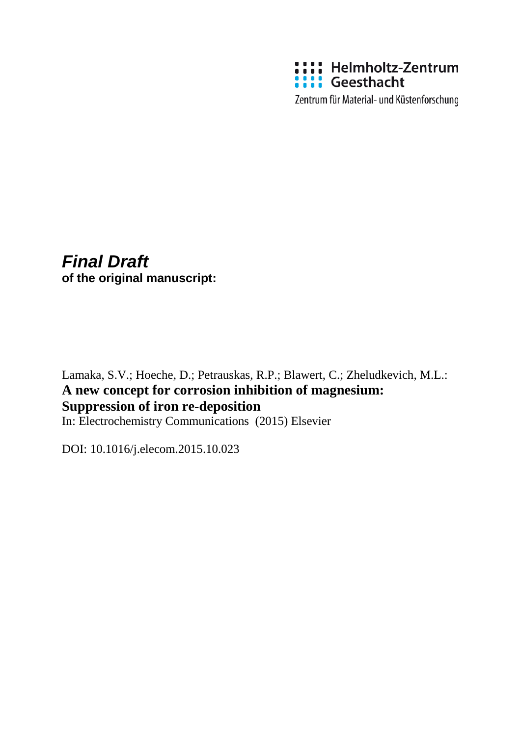

Zentrum für Material- und Küstenforschung

# *Final Draft*

**of the original manuscript:**

Lamaka, S.V.; Hoeche, D.; Petrauskas, R.P.; Blawert, C.; Zheludkevich, M.L.: **A new concept for corrosion inhibition of magnesium: Suppression of iron re-deposition** In: Electrochemistry Communications (2015) Elsevier

DOI: 10.1016/j.elecom.2015.10.023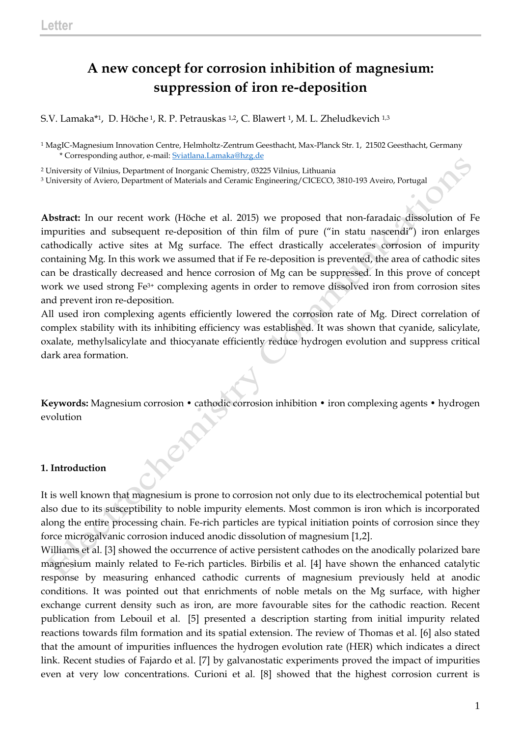# **A new concept for corrosion inhibition of magnesium: suppression of iron re-deposition**

S.V. Lamaka\*1, D. Höche 1, R. P. Petrauskas 1,2, C. Blawert 1, M. L. Zheludkevich 1,3

<sup>1</sup> MagIC-Magnesium Innovation Centre, Helmholtz-Zentrum Geesthacht, Max-Planck Str. 1, 21502 Geesthacht, Germany \* Corresponding author, e-mail: [Sviatlana.Lamaka@hzg.de](mailto:Sviatlana.Lamaka@hzg.de)

<sup>2</sup> University of Vilnius, Department of Inorganic Chemistry, 03225 Vilnius, Lithuania

 $\mathcal{O}^{'}$ 

<sup>3</sup> University of Aviero, Department of Materials and Ceramic Engineering/CICECO, 3810-193 Aveiro, Portugal

**Abstract:** In our recent work (Höche et al. 2015) we proposed that non-faradaic dissolution of Fe impurities and subsequent re-deposition of thin film of pure ("in statu nascendi") iron enlarges cathodically active sites at Mg surface. The effect drastically accelerates corrosion of impurity containing Mg. In this work we assumed that if Fe re-deposition is prevented, the area of cathodic sites can be drastically decreased and hence corrosion of Mg can be suppressed. In this prove of concept work we used strong Fe3+ complexing agents in order to remove dissolved iron from corrosion sites and prevent iron re-deposition.

All used iron complexing agents efficiently lowered the corrosion rate of Mg. Direct correlation of complex stability with its inhibiting efficiency was established. It was shown that cyanide, salicylate, oxalate, methylsalicylate and thiocyanate efficiently reduce hydrogen evolution and suppress critical dark area formation.

**Keywords:** Magnesium corrosion • cathodic corrosion inhibition • iron complexing agents • hydrogen evolution

## **1. Introduction**

It is well known that magnesium is prone to corrosion not only due to its electrochemical potential but also due to its susceptibility to noble impurity elements. Most common is iron which is incorporated along the entire processing chain. Fe-rich particles are typical initiation points of corrosion since they force microgalvanic corrosion induced anodic dissolution of magnesium [1,2].

Williams et al. [3] showed the occurrence of active persistent cathodes on the anodically polarized bare magnesium mainly related to Fe-rich particles. Birbilis et al. [4] have shown the enhanced catalytic response by measuring enhanced cathodic currents of magnesium previously held at anodic conditions. It was pointed out that enrichments of noble metals on the Mg surface, with higher exchange current density such as iron, are more favourable sites for the cathodic reaction. Recent publication from Lebouil et al. [5] presented a description starting from initial impurity related reactions towards film formation and its spatial extension. The review of Thomas et al. [6] also stated that the amount of impurities influences the hydrogen evolution rate (HER) which indicates a direct link. Recent studies of Fajardo et al. [7] by galvanostatic experiments proved the impact of impurities even at very low concentrations. Curioni et al. [8] showed that the highest corrosion current is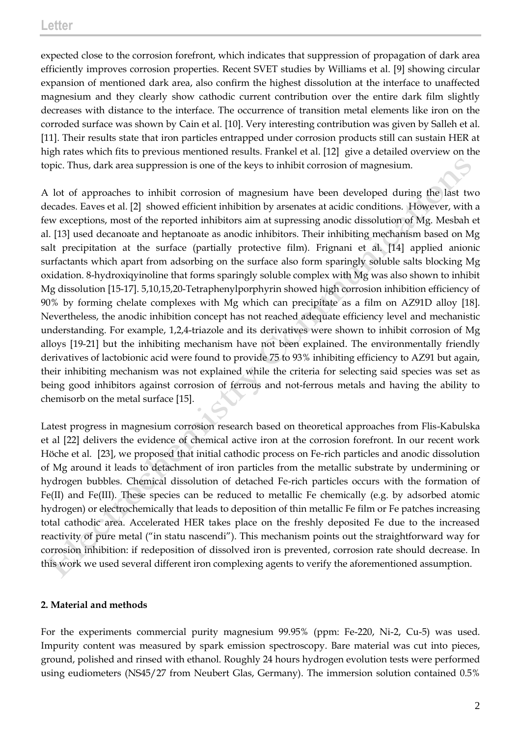expected close to the corrosion forefront, which indicates that suppression of propagation of dark area efficiently improves corrosion properties. Recent SVET studies by Williams et al. [9] showing circular expansion of mentioned dark area, also confirm the highest dissolution at the interface to unaffected magnesium and they clearly show cathodic current contribution over the entire dark film slightly decreases with distance to the interface. The occurrence of transition metal elements like iron on the corroded surface was shown by Cain et al. [10]. Very interesting contribution was given by Salleh et al. [11]. Their results state that iron particles entrapped under corrosion products still can sustain HER at high rates which fits to previous mentioned results. Frankel et al. [12] give a detailed overview on the topic. Thus, dark area suppression is one of the keys to inhibit corrosion of magnesium.

A lot of approaches to inhibit corrosion of magnesium have been developed during the last two decades. Eaves et al. [2] showed efficient inhibition by arsenates at acidic conditions. However, with a few exceptions, most of the reported inhibitors aim at supressing anodic dissolution of Mg. Mesbah et al. [13] used decanoate and heptanoate as anodic inhibitors. Their inhibiting mechanism based on Mg salt precipitation at the surface (partially protective film). Frignani et al. [14] applied anionic surfactants which apart from adsorbing on the surface also form sparingly soluble salts blocking Mg oxidation. 8-hydroxiqyinoline that forms sparingly soluble complex with Mg was also shown to inhibit Mg dissolution [15-17]. 5,10,15,20-Tetraphenylporphyrin showed high corrosion inhibition efficiency of 90% by forming chelate complexes with Mg which can precipitate as a film on AZ91D alloy [18]. Nevertheless, the anodic inhibition concept has not reached adequate efficiency level and mechanistic understanding. For example, 1,2,4-triazole and its derivatives were shown to inhibit corrosion of Mg alloys [19-21] but the inhibiting mechanism have not been explained. The environmentally friendly derivatives of lactobionic acid were found to provide 75 to 93% inhibiting efficiency to AZ91 but again, their inhibiting mechanism was not explained while the criteria for selecting said species was set as being good inhibitors against corrosion of ferrous and not-ferrous metals and having the ability to chemisorb on the metal surface [15].

Latest progress in magnesium corrosion research based on theoretical approaches from Flis-Kabulska et al [22] delivers the evidence of chemical active iron at the corrosion forefront. In our recent work Höche et al. [23], we proposed that initial cathodic process on Fe-rich particles and anodic dissolution of Mg around it leads to detachment of iron particles from the metallic substrate by undermining or hydrogen bubbles. Chemical dissolution of detached Fe-rich particles occurs with the formation of Fe(II) and Fe(III). These species can be reduced to metallic Fe chemically (e.g. by adsorbed atomic hydrogen) or electrochemically that leads to deposition of thin metallic Fe film or Fe patches increasing total cathodic area. Accelerated HER takes place on the freshly deposited Fe due to the increased reactivity of pure metal ("in statu nascendi"). This mechanism points out the straightforward way for corrosion inhibition: if redeposition of dissolved iron is prevented, corrosion rate should decrease. In this work we used several different iron complexing agents to verify the aforementioned assumption.

## **2. Material and methods**

For the experiments commercial purity magnesium 99.95% (ppm: Fe-220, Ni-2, Cu-5) was used. Impurity content was measured by spark emission spectroscopy. Bare material was cut into pieces, ground, polished and rinsed with ethanol. Roughly 24 hours hydrogen evolution tests were performed using eudiometers (NS45/27 from Neubert Glas, Germany). The immersion solution contained 0.5%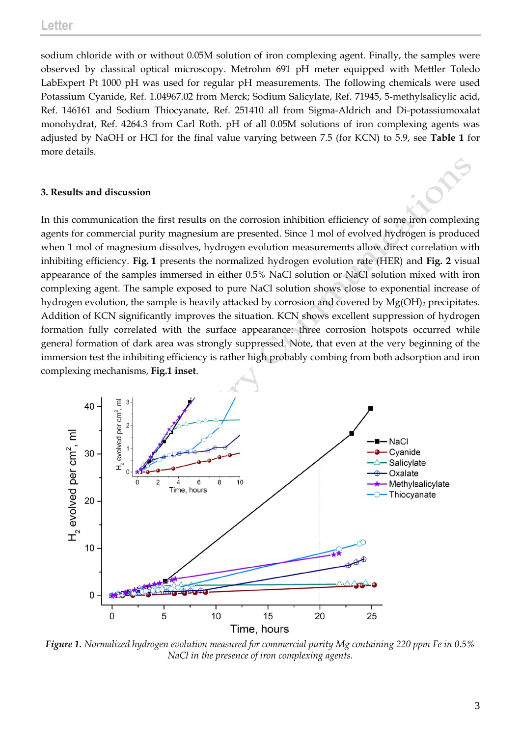sodium chloride with or without 0.05M solution of iron complexing agent. Finally, the samples were observed by classical optical microscopy. Metrohm 691 pH meter equipped with Mettler Toledo LabExpert Pt 1000 pH was used for regular pH measurements. The following chemicals were used Potassium Cyanide, Ref. 1.04967.02 from Merck; Sodium Salicylate, Ref. 71945, 5-methylsalicylic acid, Ref. 146161 and Sodium Thiocyanate, Ref. 251410 all from Sigma-Aldrich and Di-potassiumoxalat monohydrat, Ref. 4264.3 from Carl Roth. pH of all 0.05M solutions of iron complexing agents was adjusted by NaOH or HCl for the final value varying between 7.5 (for KCN) to 5.9, see **Table 1** for more details.

#### **3. Results and discussion**

In this communication the first results on the corrosion inhibition efficiency of some iron complexing agents for commercial purity magnesium are presented. Since 1 mol of evolved hydrogen is produced when 1 mol of magnesium dissolves, hydrogen evolution measurements allow direct correlation with inhibiting efficiency. **Fig. 1** presents the normalized hydrogen evolution rate (HER) and **Fig. 2** visual appearance of the samples immersed in either 0.5% NaCl solution or NaCl solution mixed with iron complexing agent. The sample exposed to pure NaCl solution shows close to exponential increase of hydrogen evolution, the sample is heavily attacked by corrosion and covered by  $Mg(OH)$ <sub>2</sub> precipitates. Addition of KCN significantly improves the situation. KCN shows excellent suppression of hydrogen formation fully correlated with the surface appearance: three corrosion hotspots occurred while general formation of dark area was strongly suppressed. Note, that even at the very beginning of the immersion test the inhibiting efficiency is rather high probably combing from both adsorption and iron complexing mechanisms, **Fig.1 inset**.



*Figure 1. Normalized hydrogen evolution measured for commercial purity Mg containing 220 ppm Fe in 0.5% NaCl in the presence of iron complexing agents.*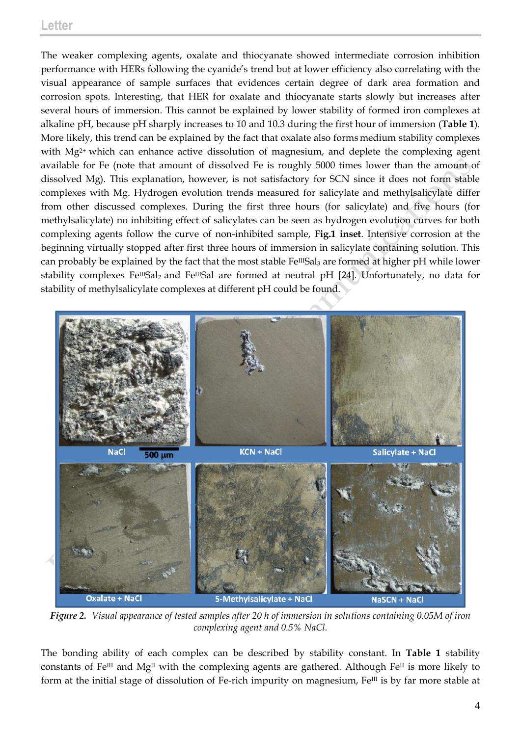# **Letter**

The weaker complexing agents, oxalate and thiocyanate showed intermediate corrosion inhibition performance with HERs following the cyanide's trend but at lower efficiency also correlating with the visual appearance of sample surfaces that evidences certain degree of dark area formation and corrosion spots. Interesting, that HER for oxalate and thiocyanate starts slowly but increases after several hours of immersion. This cannot be explained by lower stability of formed iron complexes at alkaline pH, because pH sharply increases to 10 and 10.3 during the first hour of immersion (**Table 1**). More likely, this trend can be explained by the fact that oxalate also formsmedium stability complexes with Mg<sup>2+</sup> which can enhance active dissolution of magnesium, and deplete the complexing agent available for Fe (note that amount of dissolved Fe is roughly 5000 times lower than the amount of dissolved Mg). This explanation, however, is not satisfactory for SCN since it does not form stable complexes with Mg. Hydrogen evolution trends measured for salicylate and methylsalicylate differ from other discussed complexes. During the first three hours (for salicylate) and five hours (for methylsalicylate) no inhibiting effect of salicylates can be seen as hydrogen evolution curves for both complexing agents follow the curve of non-inhibited sample, **Fig.1 inset**. Intensive corrosion at the beginning virtually stopped after first three hours of immersion in salicylate containing solution. This can probably be explained by the fact that the most stable Fe<sup>III</sup>Sal<sub>3</sub> are formed at higher pH while lower stability complexes Fe<sup>III</sup>Sal<sub>2</sub> and Fe<sup>III</sup>Sal are formed at neutral pH [24]. Unfortunately, no data for stability of methylsalicylate complexes at different pH could be found.



*Figure 2. Visual appearance of tested samples after 20 h of immersion in solutions containing 0.05M of iron complexing agent and 0.5% NaCl.*

The bonding ability of each complex can be described by stability constant. In **Table 1** stability constants of Fe<sup>III</sup> and Mg<sup>II</sup> with the complexing agents are gathered. Although Fe<sup>II</sup> is more likely to form at the initial stage of dissolution of Fe-rich impurity on magnesium,  $Fe^{III}$  is by far more stable at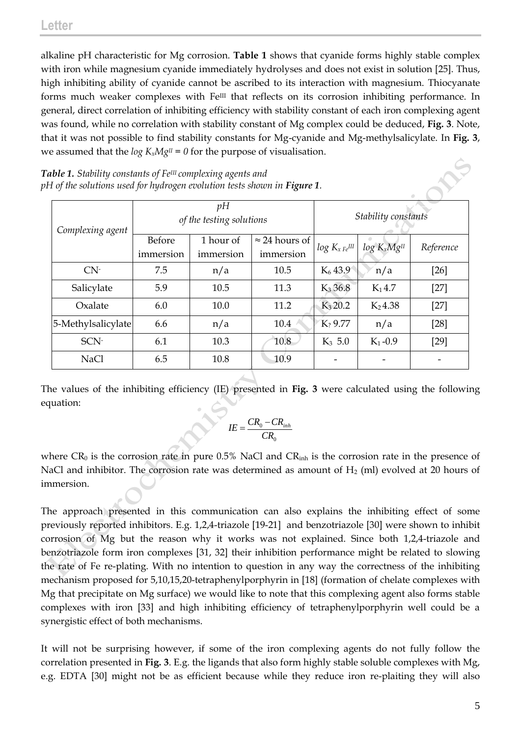alkaline pH characteristic for Mg corrosion. **Table 1** shows that cyanide forms highly stable complex with iron while magnesium cyanide immediately hydrolyses and does not exist in solution [25]. Thus, high inhibiting ability of cyanide cannot be ascribed to its interaction with magnesium. Thiocyanate forms much weaker complexes with Fe<sup>III</sup> that reflects on its corrosion inhibiting performance. In general, direct correlation of inhibiting efficiency with stability constant of each iron complexing agent was found, while no correlation with stability constant of Mg complex could be deduced, **Fig. 3**. Note, that it was not possible to find stability constants for Mg-cyanide and Mg-methylsalicylate. In **Fig. 3**, we assumed that the  $log K_xMgI = 0$  for the purpose of visualisation.

*Table 1. Stability constants of FeIII complexing agents and pH of the solutions used for hydrogen evolution tests shown in Figure 1.*

| Complexing agent   | pH<br>of the testing solutions |           |                       | Stability constants     |                  |           |
|--------------------|--------------------------------|-----------|-----------------------|-------------------------|------------------|-----------|
|                    | Before                         | 1 hour of | $\approx$ 24 hours of | $log K_{x \, Fe^{III}}$ | $log K_xMg^{II}$ | Reference |
|                    | immersion                      | immersion | immersion             |                         |                  |           |
| CN <sub>1</sub>    | 7.5                            | n/a       | 10.5                  | $K_6$ 43.9              | n/a              | $[26]$    |
| Salicylate         | 5.9                            | 10.5      | 11.3                  | $K_3 36.8$              | $K_1$ 4.7        | $[27]$    |
| Oxalate            | 6.0                            | 10.0      | 11.2                  | $K_3 20.2$              | $K_2$ 4.38       | $[27]$    |
| 5-Methylsalicylate | 6.6                            | n/a       | 10.4                  | $K_2$ 9.77              | n/a              | $[28]$    |
| SCN-               | 6.1                            | 10.3      | 10.8                  | $K_3$ 5.0               | $K_1 - 0.9$      | $[29]$    |
| <b>NaCl</b>        | 6.5                            | 10.8      | 10.9                  |                         |                  |           |

The values of the inhibiting efficiency (IE) presented in **Fig. 3** were calculated using the following equation:

$$
IE = \frac{CR_0 - CR_{inh}}{CR_0}
$$

where  $CR_0$  is the corrosion rate in pure 0.5% NaCl and  $CR<sub>inh</sub>$  is the corrosion rate in the presence of NaCl and inhibitor. The corrosion rate was determined as amount of  $H_2$  (ml) evolved at 20 hours of immersion.

The approach presented in this communication can also explains the inhibiting effect of some previously reported inhibitors. E.g. 1,2,4-triazole [19-21] and benzotriazole [30] were shown to inhibit corrosion of Mg but the reason why it works was not explained. Since both 1,2,4-triazole and benzotriazole form iron complexes [31, 32] their inhibition performance might be related to slowing the rate of Fe re-plating. With no intention to question in any way the correctness of the inhibiting mechanism proposed for 5,10,15,20-tetraphenylporphyrin in [18] (formation of chelate complexes with Mg that precipitate on Mg surface) we would like to note that this complexing agent also forms stable complexes with iron [33] and high inhibiting efficiency of tetraphenylporphyrin well could be a synergistic effect of both mechanisms.

It will not be surprising however, if some of the iron complexing agents do not fully follow the correlation presented in **Fig. 3**. E.g. the ligands that also form highly stable soluble complexes with Mg, e.g. EDTA [30] might not be as efficient because while they reduce iron re-plaiting they will also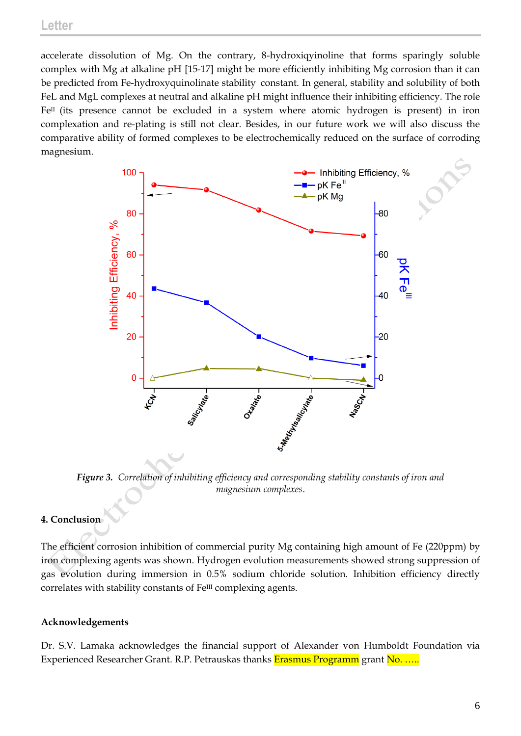accelerate dissolution of Mg. On the contrary, 8-hydroxiqyinoline that forms sparingly soluble complex with Mg at alkaline pH [15-17] might be more efficiently inhibiting Mg corrosion than it can be predicted from Fe-hydroxyquinolinate stability constant. In general, stability and solubility of both FeL and MgL complexes at neutral and alkaline pH might influence their inhibiting efficiency. The role FeII (its presence cannot be excluded in a system where atomic hydrogen is present) in iron complexation and re-plating is still not clear. Besides, in our future work we will also discuss the comparative ability of formed complexes to be electrochemically reduced on the surface of corroding magnesium.



*Figure 3. Correlation of inhibiting efficiency and corresponding stability constants of iron and magnesium complexes*.

# **4. Conclusion**

The efficient corrosion inhibition of commercial purity Mg containing high amount of Fe (220ppm) by iron complexing agents was shown. Hydrogen evolution measurements showed strong suppression of gas evolution during immersion in 0.5% sodium chloride solution. Inhibition efficiency directly correlates with stability constants of Fe<sup>III</sup> complexing agents.

# **Acknowledgements**

Dr. S.V. Lamaka acknowledges the financial support of Alexander von Humboldt Foundation via Experienced Researcher Grant. R.P. Petrauskas thanks Erasmus Programm grant No. …..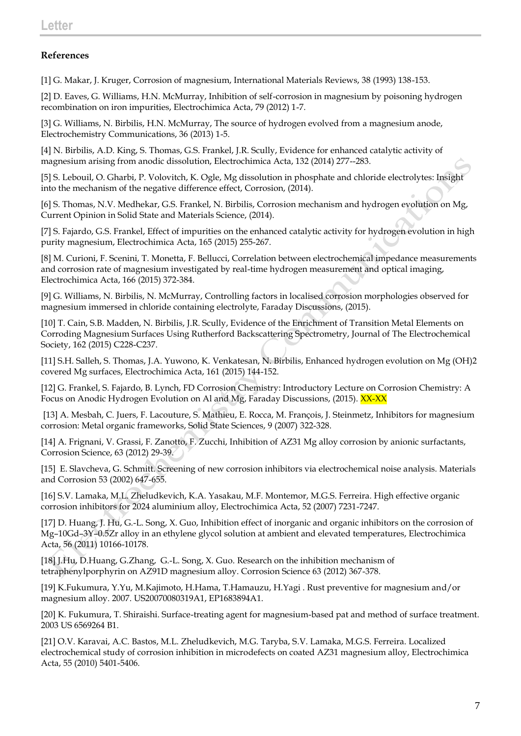# **References**

[1] G. Makar, J. Kruger, Corrosion of magnesium, International Materials Reviews, 38 (1993) 138-153.

[2] D. Eaves, G. Williams, H.N. McMurray, Inhibition of self-corrosion in magnesium by poisoning hydrogen recombination on iron impurities, Electrochimica Acta, 79 (2012) 1-7.

[3] G. Williams, N. Birbilis, H.N. McMurray, The source of hydrogen evolved from a magnesium anode, Electrochemistry Communications, 36 (2013) 1-5.

[4] N. Birbilis, A.D. King, S. Thomas, G.S. Frankel, J.R. Scully, Evidence for enhanced catalytic activity of magnesium arising from anodic dissolution, Electrochimica Acta, 132 (2014) 277--283.

[5] S. Lebouil, O. Gharbi, P. Volovitch, K. Ogle, Mg dissolution in phosphate and chloride electrolytes: Insight into the mechanism of the negative difference effect, Corrosion, (2014).

[6] S. Thomas, N.V. Medhekar, G.S. Frankel, N. Birbilis, Corrosion mechanism and hydrogen evolution on Mg, Current Opinion in Solid State and Materials Science, (2014).

[7] S. Fajardo, G.S. Frankel, Effect of impurities on the enhanced catalytic activity for hydrogen evolution in high purity magnesium, Electrochimica Acta, 165 (2015) 255-267.

[8] M. Curioni, F. Scenini, T. Monetta, F. Bellucci, Correlation between electrochemical impedance measurements and corrosion rate of magnesium investigated by real-time hydrogen measurement and optical imaging, Electrochimica Acta, 166 (2015) 372-384.

[9] G. Williams, N. Birbilis, N. McMurray, Controlling factors in localised corrosion morphologies observed for magnesium immersed in chloride containing electrolyte, Faraday Discussions, (2015).

[10] T. Cain, S.B. Madden, N. Birbilis, J.R. Scully, Evidence of the Enrichment of Transition Metal Elements on Corroding Magnesium Surfaces Using Rutherford Backscattering Spectrometry, Journal of The Electrochemical Society, 162 (2015) C228-C237.

[11] S.H. Salleh, S. Thomas, J.A. Yuwono, K. Venkatesan, N. Birbilis, Enhanced hydrogen evolution on Mg (OH)2 covered Mg surfaces, Electrochimica Acta, 161 (2015) 144-152.

[12] G. Frankel, S. Fajardo, B. Lynch, FD Corrosion Chemistry: Introductory Lecture on Corrosion Chemistry: A Focus on Anodic Hydrogen Evolution on Al and Mg, Faraday Discussions, (2015). XX-XX

[13] A. Mesbah, C. Juers, F. Lacouture, S. Mathieu, E. Rocca, M. François, J. Steinmetz, Inhibitors for magnesium corrosion: Metal organic frameworks, Solid State Sciences, 9 (2007) 322-328.

[14] A. Frignani, V. Grassi, F. Zanotto, F. Zucchi, Inhibition of AZ31 Mg alloy corrosion by anionic surfactants, Corrosion Science, 63 (2012) 29-39.

[15] E. Slavcheva, G. Schmitt. Screening of new corrosion inhibitors via electrochemical noise analysis. Materials and Corrosion 53 (2002) 647-655.

[16] S.V. Lamaka, M.L. Zheludkevich, K.A. Yasakau, M.F. Montemor, M.G.S. Ferreira. High effective organic corrosion inhibitors for 2024 aluminium alloy, Electrochimica Acta, 52 (2007) 7231-7247.

[17] D. Huang, J. Hu, G.-L. Song, X. Guo, Inhibition effect of inorganic and organic inhibitors on the corrosion of Mg–10Gd–3Y–0.5Zr alloy in an ethylene glycol solution at ambient and elevated temperatures, Electrochimica Acta, 56 (2011) 10166-10178.

[18] J.Hu, D.Huang, G.Zhang, G.-L. Song, X. Guo. Research on the inhibition mechanism of tetraphenylporphyrin on AZ91D magnesium alloy. Corrosion Science 63 (2012) 367-378.

[19] K.Fukumura, Y.Yu, M.Kajimoto, H.Hama, T.Hamauzu, H.Yagi . Rust preventive for magnesium and/or magnesium alloy. 2007. US20070080319A1, EP1683894A1.

[20] K. Fukumura, T. Shiraishi. Surface-treating agent for magnesium-based pat and method of surface treatment. 2003 US 6569264 B1.

[21] O.V. Karavai, A.C. Bastos, M.L. Zheludkevich, M.G. Taryba, S.V. Lamaka, M.G.S. Ferreira. Localized electrochemical study of corrosion inhibition in microdefects on coated AZ31 magnesium alloy, Electrochimica Acta, 55 (2010) 5401-5406.